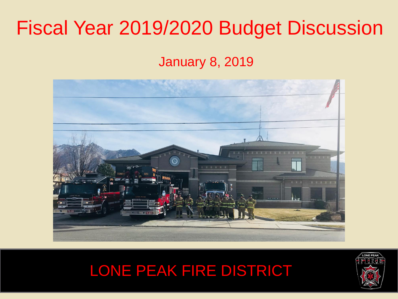## Fiscal Year 2019/2020 Budget Discussion

January 8, 2019





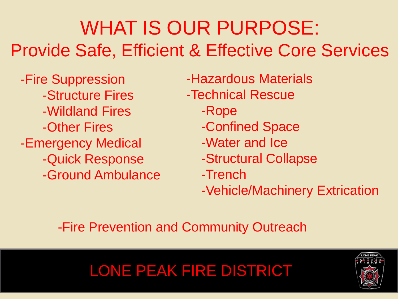## WHAT IS OUR PURPOSE: Provide Safe, Efficient & Effective Core Services

-Fire Suppression -Structure Fires -Wildland Fires -Other Fires -Emergency Medical -Quick Response -Ground Ambulance -Hazardous Materials -Technical Rescue -Rope -Confined Space -Water and Ice -Structural Collapse -Trench -Vehicle/Machinery Extrication

-Fire Prevention and Community Outreach

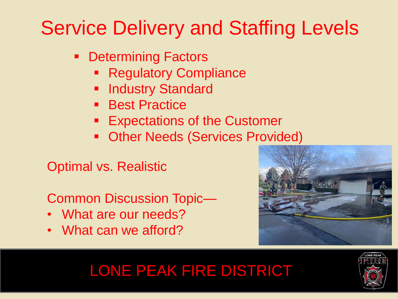- **Determining Factors** 
	- Regulatory Compliance
	- **Industry Standard**
	- **Best Practice**
	- **Expectations of the Customer**
	- **Other Needs (Services Provided)**

Optimal vs. Realistic

Common Discussion Topic—

- What are our needs?
- What can we afford?



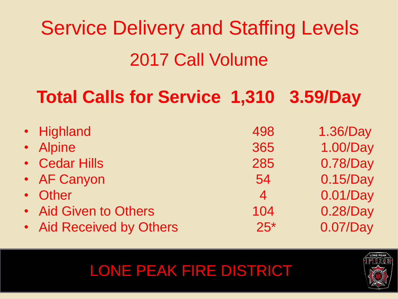# Service Delivery and Staffing Levels 2017 Call Volume

## **Total Calls for Service 1,310 3.59/Day**

| · Highland               | 498            | 1.36/Day |
|--------------------------|----------------|----------|
| • Alpine                 | 365            | 1.00/Day |
| • Cedar Hills            | 285            | 0.78/Day |
| • AF Canyon              | 54             | 0.15/Day |
| • Other                  | $\overline{4}$ | 0.01/Day |
| • Aid Given to Others    | 104            | 0.28/Day |
| • Aid Received by Others | $25*$          | 0.07/Day |

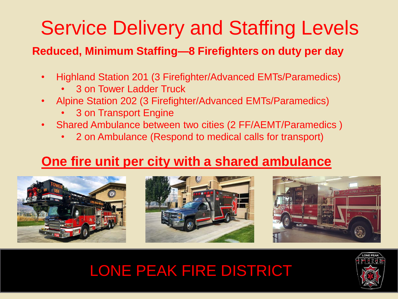**Reduced, Minimum Staffing— 8 Firefighters on duty per day**

- Highland Station 201 (3 Firefighter/Advanced EMTs/Paramedics)
	- 3 on Tower Ladder Truck
- Alpine Station 202 (3 Firefighter/Advanced EMTs/Paramedics)
	- 3 on Transport Engine
- Shared Ambulance between two cities (2 FF/AEMT/Paramedics )
	- 2 on Ambulance (Respond to medical calls for transport)

### **One fire unit per city with a shared ambulance**







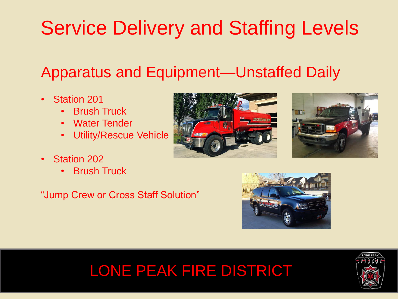### Apparatus and Equipment—Unstaffed Daily

- Station 201
	- Brush Truck
	- Water Tender
	- Utility/Rescue Vehicle
- Station 202
	- **Brush Truck**

"Jump Crew or Cross Staff Solution"







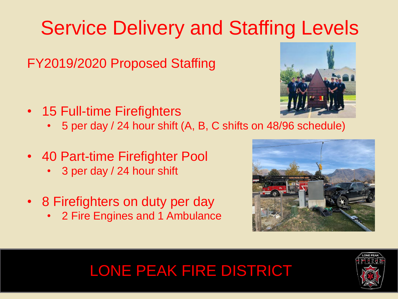FY2019/2020 Proposed Staffing

- 15 Full-time Firefighters
	- 5 per day / 24 hour shift (A, B, C shifts on 48/96 schedule)
- 40 Part-time Firefighter Pool
	- 3 per day / 24 hour shift
- 8 Firefighters on duty per day
	- 2 Fire Engines and 1 Ambulance





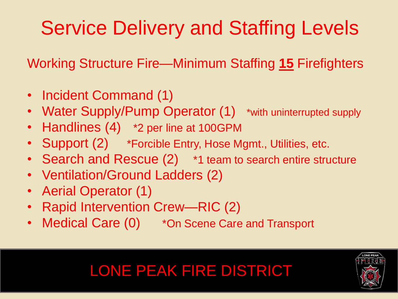Working Structure Fire—Minimum Staffing **<sup>15</sup>** Firefighters

- Incident Command (1)
- Water Supply/Pump Operator (1) \*with uninterrupted supply
- Handlines (4)  $*2$  per line at 100GPM
- Support (2) \*Forcible Entry, Hose Mgmt., Utilities, etc.
- Search and Rescue (2)  $*1$  team to search entire structure
- Ventilation/Ground Ladders (2)
- Aerial Operator (1)
- Rapid Intervention Crew—RIC (2)
- Medical Care (0)  $*$  On Scene Care and Transport

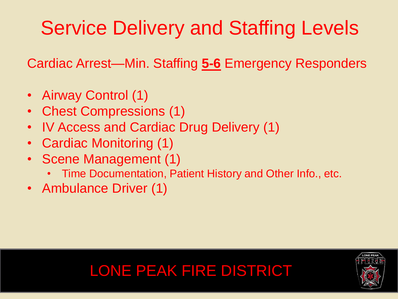Cardiac Arrest—Min. Staffing **5-6** Emergency Responders

- Airway Control (1)
- Chest Compressions (1)
- IV Access and Cardiac Drug Delivery (1)
- Cardiac Monitoring (1)
- Scene Management (1)
	- Time Documentation, Patient History and Other Info., etc.
- Ambulance Driver (1)



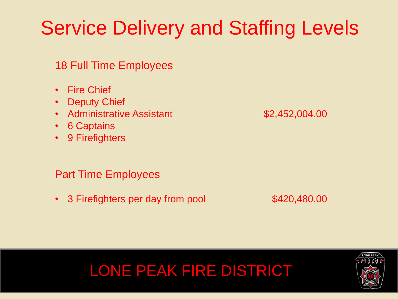#### 18 Full Time Employees

- Fire Chief
- Deputy Chief
- Administrative Assistant **\$2,452,004.00**
- 6 Captains
- 9 Firefighters

#### Part Time Employees

• 3 Firefighters per day from pool \$420,480.00







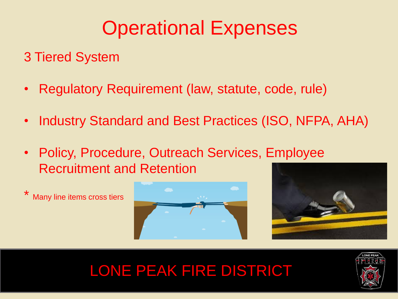### 3 Tiered System

- Regulatory Requirement (law, statute, code, rule)
- Industry Standard and Best Practices (ISO, NFPA, AHA)
- Policy, Procedure, Outreach Services, Employee Recruitment and Retention







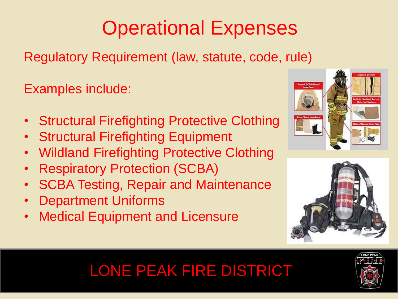Regulatory Requirement (law, statute, code, rule)

Examples include:

- Structural Firefighting Protective Clothing
- Structural Firefighting Equipment
- Wildland Firefighting Protective Clothing
- Respiratory Protection (SCBA)
- SCBA Testing, Repair and Maintenance
- Department Uniforms
- Medical Equipment and Licensure





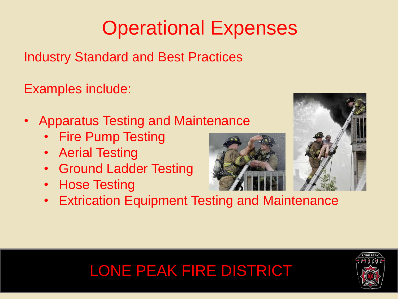Industry Standard and Best Practices

Examples include:

- Apparatus Testing and Maintenance
	- Fire Pump Testing
	- Aerial Testing
	- Ground Ladder Testing
	- Hose Testing





• Extrication Equipment Testing and Maintenance

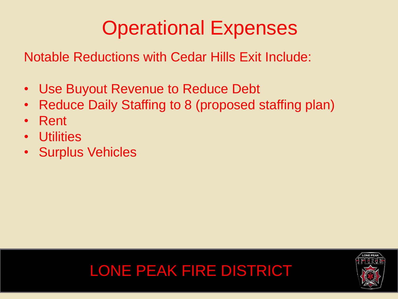Notable Reductions with Cedar Hills Exit Include:

- Use Buyout Revenue to Reduce Debt
- Reduce Daily Staffing to 8 (proposed staffing plan)
- Rent
- Utilities
- Surplus Vehicles



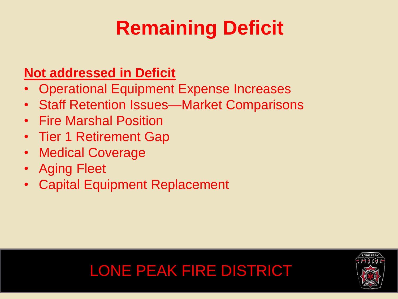# **Remaining Deficit**

### **Not addressed in Deficit**

- Operational Equipment Expense Increases
- Staff Retention Issues—Market Comparisons
- Fire Marshal Position
- Tier 1 Retirement Gap
- Medical Coverage
- Aging Fleet
- Capital Equipment Replacement

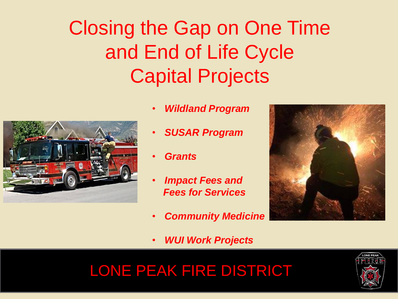## Closing the Gap on One Time and End of Life Cycle Capital Projects



- *Wildland Program*
- *SUSAR Program*
- *Grants*
- *Impact Fees and Fees for Services*
- *Community Medicine*
- *WUI Work Projects*